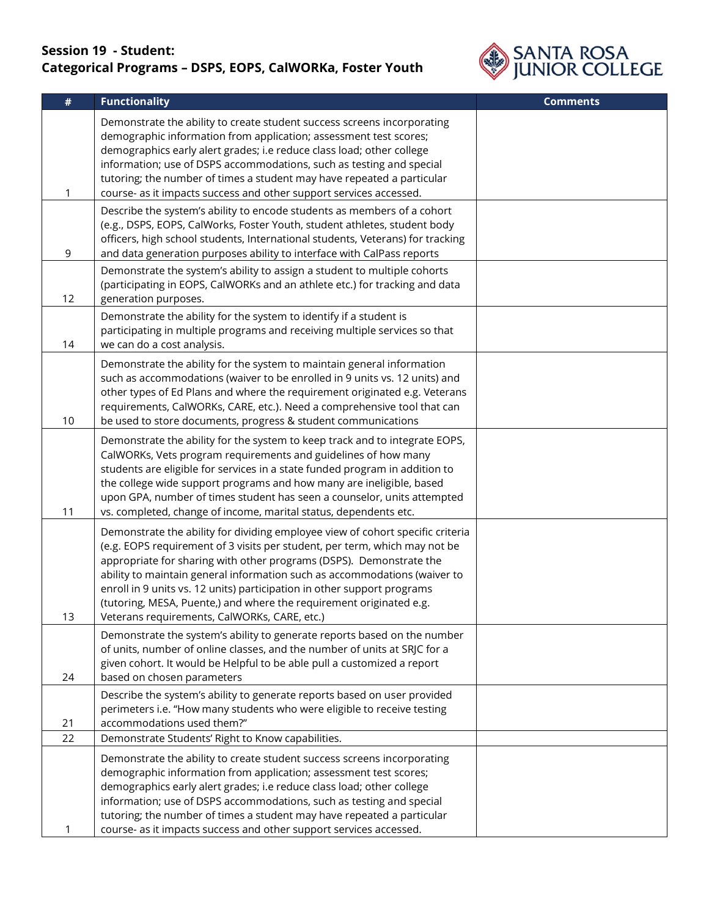## **Session 19 - Student: Categorical Programs – DSPS, EOPS, CalWORKa, Foster Youth**



| $\#$ | <b>Functionality</b>                                                                                                                                                                                                                                                                                                                                                                                                                                                                                               | <b>Comments</b> |
|------|--------------------------------------------------------------------------------------------------------------------------------------------------------------------------------------------------------------------------------------------------------------------------------------------------------------------------------------------------------------------------------------------------------------------------------------------------------------------------------------------------------------------|-----------------|
| 1    | Demonstrate the ability to create student success screens incorporating<br>demographic information from application; assessment test scores;<br>demographics early alert grades; i.e reduce class load; other college<br>information; use of DSPS accommodations, such as testing and special<br>tutoring; the number of times a student may have repeated a particular<br>course- as it impacts success and other support services accessed.                                                                      |                 |
| 9    | Describe the system's ability to encode students as members of a cohort<br>(e.g., DSPS, EOPS, CalWorks, Foster Youth, student athletes, student body<br>officers, high school students, International students, Veterans) for tracking<br>and data generation purposes ability to interface with CalPass reports                                                                                                                                                                                                   |                 |
| 12   | Demonstrate the system's ability to assign a student to multiple cohorts<br>(participating in EOPS, CalWORKs and an athlete etc.) for tracking and data<br>generation purposes.                                                                                                                                                                                                                                                                                                                                    |                 |
| 14   | Demonstrate the ability for the system to identify if a student is<br>participating in multiple programs and receiving multiple services so that<br>we can do a cost analysis.                                                                                                                                                                                                                                                                                                                                     |                 |
| 10   | Demonstrate the ability for the system to maintain general information<br>such as accommodations (waiver to be enrolled in 9 units vs. 12 units) and<br>other types of Ed Plans and where the requirement originated e.g. Veterans<br>requirements, CalWORKs, CARE, etc.). Need a comprehensive tool that can<br>be used to store documents, progress & student communications                                                                                                                                     |                 |
| 11   | Demonstrate the ability for the system to keep track and to integrate EOPS,<br>CalWORKs, Vets program requirements and guidelines of how many<br>students are eligible for services in a state funded program in addition to<br>the college wide support programs and how many are ineligible, based<br>upon GPA, number of times student has seen a counselor, units attempted<br>vs. completed, change of income, marital status, dependents etc.                                                                |                 |
| 13   | Demonstrate the ability for dividing employee view of cohort specific criteria<br>(e.g. EOPS requirement of 3 visits per student, per term, which may not be<br>appropriate for sharing with other programs (DSPS). Demonstrate the<br>ability to maintain general information such as accommodations (waiver to<br>enroll in 9 units vs. 12 units) participation in other support programs<br>(tutoring, MESA, Puente,) and where the requirement originated e.g.<br>Veterans requirements, CalWORKs, CARE, etc.) |                 |
| 24   | Demonstrate the system's ability to generate reports based on the number<br>of units, number of online classes, and the number of units at SRJC for a<br>given cohort. It would be Helpful to be able pull a customized a report<br>based on chosen parameters                                                                                                                                                                                                                                                     |                 |
| 21   | Describe the system's ability to generate reports based on user provided<br>perimeters i.e. "How many students who were eligible to receive testing<br>accommodations used them?"                                                                                                                                                                                                                                                                                                                                  |                 |
| 22   | Demonstrate Students' Right to Know capabilities.                                                                                                                                                                                                                                                                                                                                                                                                                                                                  |                 |
|      | Demonstrate the ability to create student success screens incorporating<br>demographic information from application; assessment test scores;<br>demographics early alert grades; i.e reduce class load; other college<br>information; use of DSPS accommodations, such as testing and special<br>tutoring; the number of times a student may have repeated a particular<br>course- as it impacts success and other support services accessed.                                                                      |                 |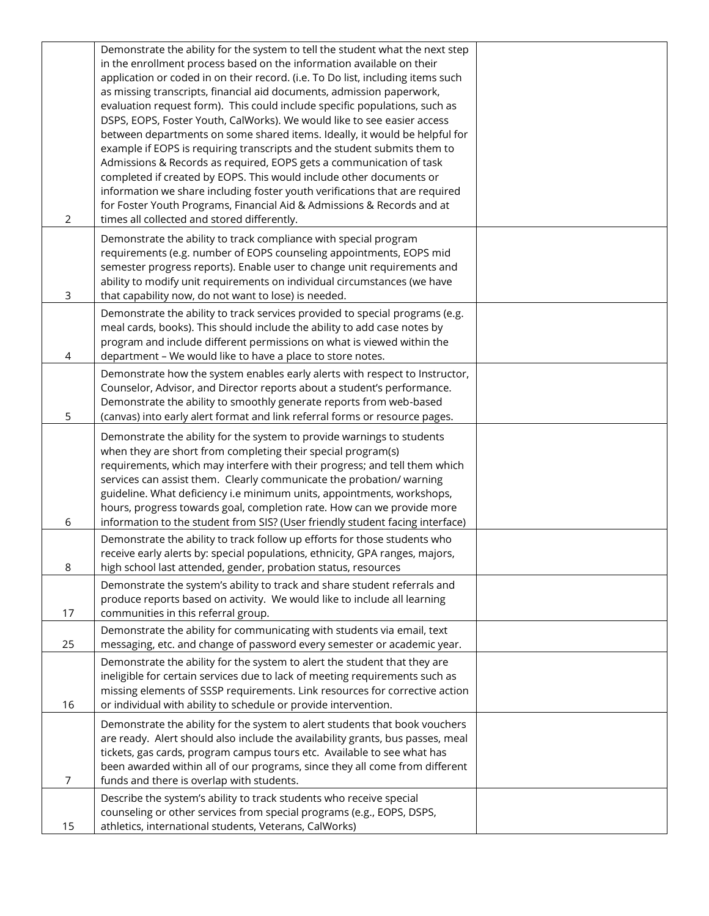|             | Demonstrate the ability for the system to tell the student what the next step<br>in the enrollment process based on the information available on their<br>application or coded in on their record. (i.e. To Do list, including items such<br>as missing transcripts, financial aid documents, admission paperwork,<br>evaluation request form). This could include specific populations, such as<br>DSPS, EOPS, Foster Youth, CalWorks). We would like to see easier access<br>between departments on some shared items. Ideally, it would be helpful for<br>example if EOPS is requiring transcripts and the student submits them to<br>Admissions & Records as required, EOPS gets a communication of task |  |
|-------------|--------------------------------------------------------------------------------------------------------------------------------------------------------------------------------------------------------------------------------------------------------------------------------------------------------------------------------------------------------------------------------------------------------------------------------------------------------------------------------------------------------------------------------------------------------------------------------------------------------------------------------------------------------------------------------------------------------------|--|
| 2           | completed if created by EOPS. This would include other documents or<br>information we share including foster youth verifications that are required<br>for Foster Youth Programs, Financial Aid & Admissions & Records and at<br>times all collected and stored differently.                                                                                                                                                                                                                                                                                                                                                                                                                                  |  |
| $\mathsf 3$ | Demonstrate the ability to track compliance with special program<br>requirements (e.g. number of EOPS counseling appointments, EOPS mid<br>semester progress reports). Enable user to change unit requirements and<br>ability to modify unit requirements on individual circumstances (we have<br>that capability now, do not want to lose) is needed.                                                                                                                                                                                                                                                                                                                                                       |  |
| 4           | Demonstrate the ability to track services provided to special programs (e.g.<br>meal cards, books). This should include the ability to add case notes by<br>program and include different permissions on what is viewed within the<br>department - We would like to have a place to store notes.                                                                                                                                                                                                                                                                                                                                                                                                             |  |
| 5           | Demonstrate how the system enables early alerts with respect to Instructor,<br>Counselor, Advisor, and Director reports about a student's performance.<br>Demonstrate the ability to smoothly generate reports from web-based<br>(canvas) into early alert format and link referral forms or resource pages.                                                                                                                                                                                                                                                                                                                                                                                                 |  |
| 6           | Demonstrate the ability for the system to provide warnings to students<br>when they are short from completing their special program(s)<br>requirements, which may interfere with their progress; and tell them which<br>services can assist them. Clearly communicate the probation/ warning<br>guideline. What deficiency i.e minimum units, appointments, workshops,<br>hours, progress towards goal, completion rate. How can we provide more<br>information to the student from SIS? (User friendly student facing interface)                                                                                                                                                                            |  |
| 8           | Demonstrate the ability to track follow up efforts for those students who<br>receive early alerts by: special populations, ethnicity, GPA ranges, majors,<br>high school last attended, gender, probation status, resources                                                                                                                                                                                                                                                                                                                                                                                                                                                                                  |  |
| 17          | Demonstrate the system's ability to track and share student referrals and<br>produce reports based on activity. We would like to include all learning<br>communities in this referral group.                                                                                                                                                                                                                                                                                                                                                                                                                                                                                                                 |  |
| 25          | Demonstrate the ability for communicating with students via email, text<br>messaging, etc. and change of password every semester or academic year.                                                                                                                                                                                                                                                                                                                                                                                                                                                                                                                                                           |  |
| 16          | Demonstrate the ability for the system to alert the student that they are<br>ineligible for certain services due to lack of meeting requirements such as<br>missing elements of SSSP requirements. Link resources for corrective action<br>or individual with ability to schedule or provide intervention.                                                                                                                                                                                                                                                                                                                                                                                                   |  |
| 7           | Demonstrate the ability for the system to alert students that book vouchers<br>are ready. Alert should also include the availability grants, bus passes, meal<br>tickets, gas cards, program campus tours etc. Available to see what has<br>been awarded within all of our programs, since they all come from different<br>funds and there is overlap with students.                                                                                                                                                                                                                                                                                                                                         |  |
| 15          | Describe the system's ability to track students who receive special<br>counseling or other services from special programs (e.g., EOPS, DSPS,<br>athletics, international students, Veterans, CalWorks)                                                                                                                                                                                                                                                                                                                                                                                                                                                                                                       |  |